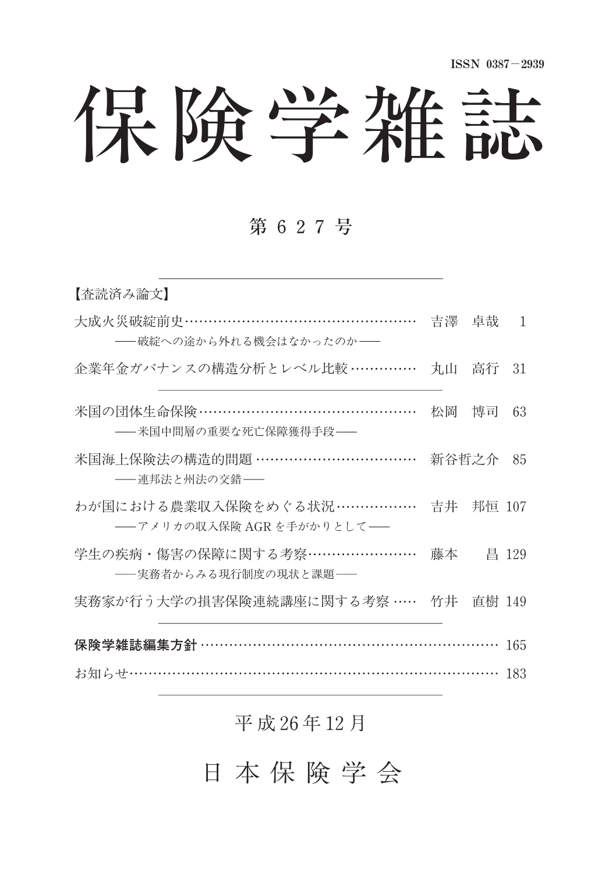# 保険学雑誌

### 第 627号

| 【査読済み論文】                                                |           |           |       |
|---------------------------------------------------------|-----------|-----------|-------|
| 大成火災破綻前史…………………………………………<br>――破綻への涂から外れる機会はなかったのか――     |           | 吉澤 卓哉     | 1     |
| 企業年金ガバナンスの構造分析とレベル比較 ……………                              | 丸山        | 高行        | 31    |
| 米国の団体生命保険 ………………………………………<br>――米国中間層の重要な死亡保障獲得手段――      |           | 松岡 博司     | 63    |
| 米国海上保険法の構造的問題 ……………………………<br>――連邦法と州法の交錯――              | 新谷哲之介     |           | 85    |
| わが国における農業収入保険をめぐる状況………………<br>――アメリカの収入保険 AGR を手がかりとして―― |           | 吉井 邦恒 107 |       |
| 学生の疾病・傷害の保障に関する考察……………………<br>――実務者からみる現行制度の現状と課題――      | 藤本        |           | 昌 129 |
| 実務家が行う大学の損害保険連続講座に関する考察 ……                              | 竹井 直樹 149 |           |       |
| 保険学雑誌編集方針 ………………………………………………………                         |           |           | 165   |
|                                                         |           |           | 183   |

#### 平 成 26年 12月

日 本 保 険 学 会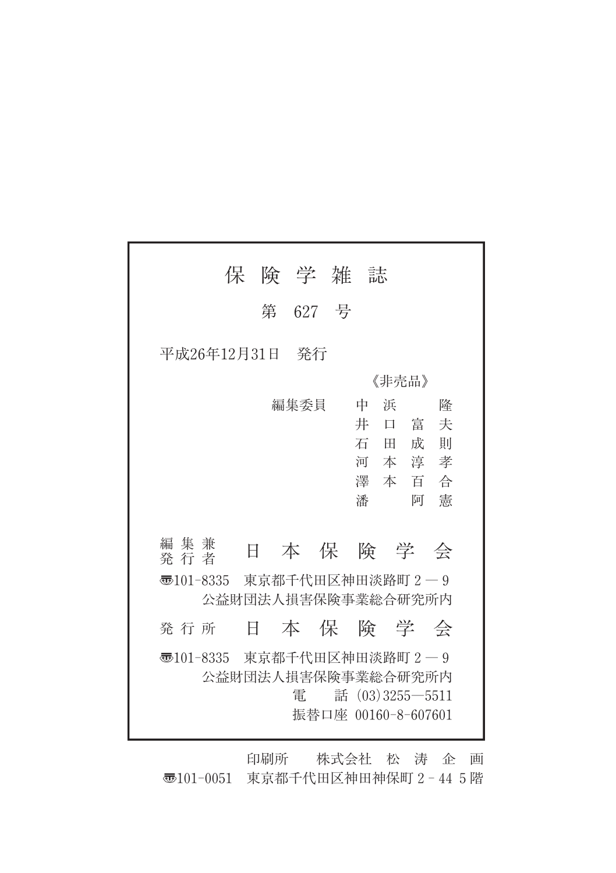| 保                           |       | 険 学 雑 誌 |  |                     |        |  |
|-----------------------------|-------|---------|--|---------------------|--------|--|
|                             |       | 第 627 号 |  |                     |        |  |
| 平成26年12月31日                 |       | 発行      |  |                     |        |  |
|                             | 《非壳品》 |         |  |                     |        |  |
|                             |       | 編集委員    |  | 中<br>浜              | 降      |  |
|                             |       |         |  | 井<br>$\Box$         | 富<br>夫 |  |
|                             |       |         |  | 石田                  | 成<br>則 |  |
|                             |       |         |  | 河本淳                 | 孝      |  |
|                             |       |         |  | 濹 本 百               | 合      |  |
|                             |       |         |  | 潘                   | 憲<br>阿 |  |
|                             |       |         |  |                     |        |  |
| 編集兼<br>発 行 者                | 日     |         |  |                     | 本保険学会  |  |
| 3101-8335 東京都千代田区神田淡路町 2-9  |       |         |  |                     |        |  |
|                             |       |         |  | 公益財団法人損害保険事業総合研究所内  |        |  |
| 発 行 所                       | Ħ.    |         |  |                     | 本保険学会  |  |
| न्5101-8335 東京都千代田区神田淡路町2-9 |       |         |  |                     |        |  |
|                             |       |         |  | 公益財団法人損害保険事業総合研究所内  |        |  |
|                             |       | 雷       |  | 話 $(03)3255 - 5511$ |        |  |
|                             |       |         |  | 振替口座 00160-8-607601 |        |  |
|                             |       |         |  |                     |        |  |

印刷所 株式会社 松 涛 企 画 〠101-0051 東京都千代田区神田神保町2-445階